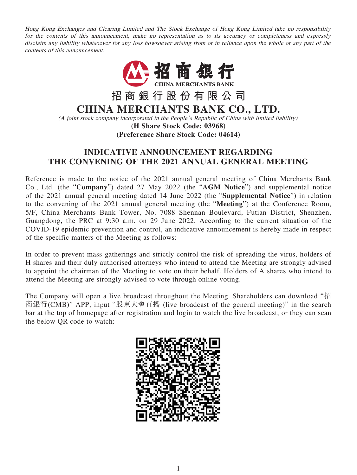Hong Kong Exchanges and Clearing Limited and The Stock Exchange of Hong Kong Limited take no responsibility for the contents of this announcement, make no representation as to its accuracy or completeness and expressly disclaim any liability whatsoever for any loss howsoever arising from or in reliance upon the whole or any part of the contents of this announcement.



## **INDICATIVE ANNOUNCEMENT REGARDING THE CONVENING OF THE 2021 ANNUAL GENERAL MEETING**

Reference is made to the notice of the 2021 annual general meeting of China Merchants Bank Co., Ltd. (the "**Company**") dated 27 May 2022 (the "**AGM Notice**") and supplemental notice of the 2021 annual general meeting dated 14 June 2022 (the "**Supplemental Notice**") in relation to the convening of the 2021 annual general meeting (the "**Meeting**") at the Conference Room, 5/F, China Merchants Bank Tower, No. 7088 Shennan Boulevard, Futian District, Shenzhen, Guangdong, the PRC at 9:30 a.m. on 29 June 2022. According to the current situation of the COVID-19 epidemic prevention and control, an indicative announcement is hereby made in respect of the specific matters of the Meeting as follows:

In order to prevent mass gatherings and strictly control the risk of spreading the virus, holders of H shares and their duly authorised attorneys who intend to attend the Meeting are strongly advised to appoint the chairman of the Meeting to vote on their behalf. Holders of A shares who intend to attend the Meeting are strongly advised to vote through online voting.

The Company will open a live broadcast throughout the Meeting. Shareholders can download "招 商銀行(CMB)" APP, input "股東大會直播 (live broadcast of the general meeting)" in the search bar at the top of homepage after registration and login to watch the live broadcast, or they can scan the below QR code to watch: